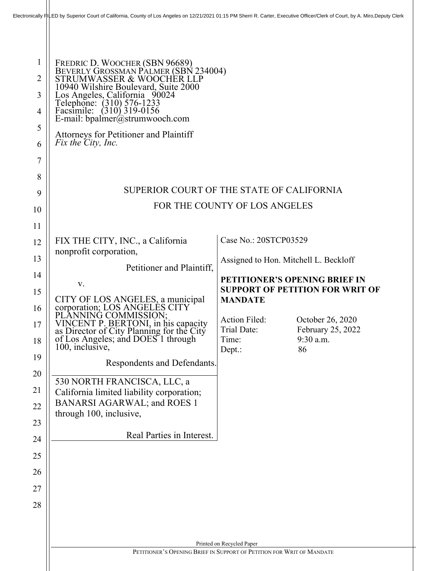|                            | Electronically 테LED by Superior Court of California, County of Los Angeles on 12/21/2021 01:15 PM Sherri R. Carter, Executive Officer/Clerk of Court, by A. Miro,Deputy Clerk                                                                                                                                                            |                                                                                                                                           |                                                          |
|----------------------------|------------------------------------------------------------------------------------------------------------------------------------------------------------------------------------------------------------------------------------------------------------------------------------------------------------------------------------------|-------------------------------------------------------------------------------------------------------------------------------------------|----------------------------------------------------------|
| 1<br>2<br>3<br>4<br>5<br>6 | FREDRIC D. WOOCHER (SBN 96689)<br>BEVERLY GROSSMAN PALMER (SBN 234004)<br>STRUMWASSER & WOOCHER LLP<br>10940 Wilshire Boulevard, Suite 2000<br>Los Angeles, California 90024<br>Telephone: (310) 576-1233<br>Facsimile: (310) 319-0156<br>E-mail: bpalmer@strumwooch.com<br>Attorneys for Petitioner and Plaintiff<br>Fix the City, Inc. |                                                                                                                                           |                                                          |
| 7<br>8<br>9                | SUPERIOR COURT OF THE STATE OF CALIFORNIA                                                                                                                                                                                                                                                                                                |                                                                                                                                           |                                                          |
| 10<br>11                   | FOR THE COUNTY OF LOS ANGELES                                                                                                                                                                                                                                                                                                            |                                                                                                                                           |                                                          |
| 12<br>13<br>14<br>15       | FIX THE CITY, INC., a California<br>nonprofit corporation,<br>Petitioner and Plaintiff,<br>V.                                                                                                                                                                                                                                            | Case No.: 20STCP03529<br>Assigned to Hon. Mitchell L. Beckloff<br>PETITIONER'S OPENING BRIEF IN<br><b>SUPPORT OF PETITION FOR WRIT OF</b> |                                                          |
| 16<br>17<br>18<br>19       | CITY OF LOS ANGELES, a municipal<br>corporation; LOS ANGELES CITY<br>PLANNING COMMISSION;<br>VINCENT P. BERTONI, in his capacity<br>as Director of City Planning for the City<br>of Los Angeles; and DOES 1 through<br>100, inclusive,                                                                                                   | <b>MANDATE</b><br>Action Filed:<br>Trial Date:<br>Time:<br>Dept.:                                                                         | October 26, 2020<br>February 25, 2022<br>9:30 a.m.<br>86 |
| 20<br>21<br>22<br>23       | Respondents and Defendants.<br>530 NORTH FRANCISCA, LLC, a<br>California limited liability corporation;<br>BANARSI AGARWAL; and ROES 1<br>through 100, inclusive,                                                                                                                                                                        |                                                                                                                                           |                                                          |
| 24<br>25                   | Real Parties in Interest.                                                                                                                                                                                                                                                                                                                |                                                                                                                                           |                                                          |
| 26<br>27<br>28             |                                                                                                                                                                                                                                                                                                                                          |                                                                                                                                           |                                                          |
|                            | Printed on Recycled Paper<br>PETITIONER'S OPENING BRIEF IN SUPPORT OF PETITION FOR WRIT OF MANDATE                                                                                                                                                                                                                                       |                                                                                                                                           |                                                          |
|                            |                                                                                                                                                                                                                                                                                                                                          |                                                                                                                                           |                                                          |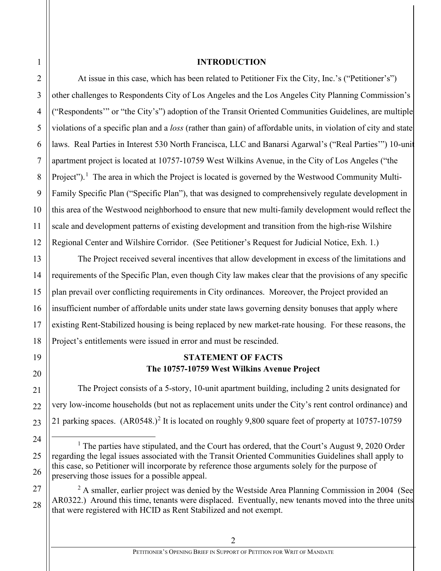1 2 3

4

5

6

7

8

### **INTRODUCTION**

At issue in this case, which has been related to Petitioner Fix the City, Inc.'s ("Petitioner's") other challenges to Respondents City of Los Angeles and the Los Angeles City Planning Commission's ("Respondents'" or "the City's") adoption of the Transit Oriented Communities Guidelines, are multiple violations of a specific plan and a *loss* (rather than gain) of affordable units, in violation of city and state laws. Real Parties in Interest 530 North Francisca, LLC and Banarsi Agarwal's ("Real Parties'") 10-unit apartment project is located at 10757-10759 West Wilkins Avenue, in the City of Los Angeles ("the Project").<sup>[1](#page-1-0)</sup> The area in which the Project is located is governed by the Westwood Community Multi-Family Specific Plan ("Specific Plan"), that was designed to comprehensively regulate development in this area of the Westwood neighborhood to ensure that new multi-family development would reflect the scale and development patterns of existing development and transition from the high-rise Wilshire Regional Center and Wilshire Corridor. (See Petitioner's Request for Judicial Notice, Exh. 1.)

The Project received several incentives that allow development in excess of the limitations and requirements of the Specific Plan, even though City law makes clear that the provisions of any specific plan prevail over conflicting requirements in City ordinances. Moreover, the Project provided an insufficient number of affordable units under state laws governing density bonuses that apply where existing Rent-Stabilized housing is being replaced by new market-rate housing. For these reasons, the Project's entitlements were issued in error and must be rescinded.

## **STATEMENT OF FACTS The 10757-10759 West Wilkins Avenue Project**

The Project consists of a 5-story, 10-unit apartment building, including 2 units designated for very low-income households (but not as replacement units under the City's rent control ordinance) and [2](#page-1-1)1 parking spaces.  $(AR0548.)^2$  It is located on roughly 9,800 square feet of property at 10757-10759

<span id="page-1-1"></span>28  $2 \text{ A smaller, earlier project was denied by the Westside Area Planning Commission in 2004 (See) }$ AR0322.) Around this time, tenants were displaced. Eventually, new tenants moved into the three units that were registered with HCID as Rent Stabilized and not exempt.

<span id="page-1-0"></span> $<sup>1</sup>$  The parties have stipulated, and the Court has ordered, that the Court's August 9, 2020 Order</sup> regarding the legal issues associated with the Transit Oriented Communities Guidelines shall apply to this case, so Petitioner will incorporate by reference those arguments solely for the purpose of preserving those issues for a possible appeal.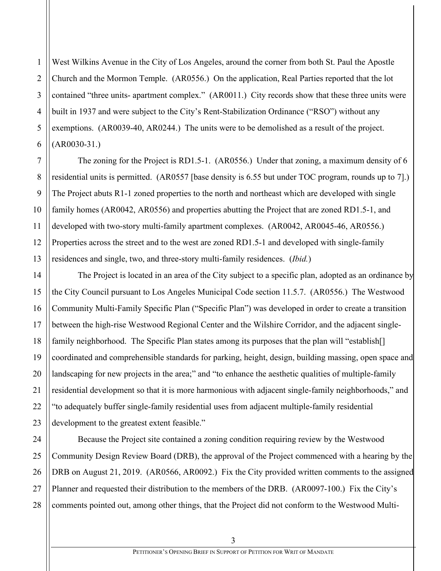West Wilkins Avenue in the City of Los Angeles, around the corner from both St. Paul the Apostle Church and the Mormon Temple. (AR0556.) On the application, Real Parties reported that the lot contained "three units- apartment complex." (AR0011.) City records show that these three units were built in 1937 and were subject to the City's Rent-Stabilization Ordinance ("RSO") without any exemptions. (AR0039-40, AR0244.) The units were to be demolished as a result of the project. (AR0030-31.)

The zoning for the Project is RD1.5-1. (AR0556.) Under that zoning, a maximum density of 6 residential units is permitted. (AR0557 [base density is 6.55 but under TOC program, rounds up to 7].) The Project abuts R1-1 zoned properties to the north and northeast which are developed with single family homes (AR0042, AR0556) and properties abutting the Project that are zoned RD1.5-1, and developed with two-story multi-family apartment complexes. (AR0042, AR0045-46, AR0556.) Properties across the street and to the west are zoned RD1.5-1 and developed with single-family residences and single, two, and three-story multi-family residences. (*Ibid.*)

The Project is located in an area of the City subject to a specific plan, adopted as an ordinance by the City Council pursuant to Los Angeles Municipal Code section 11.5.7. (AR0556.) The Westwood Community Multi-Family Specific Plan ("Specific Plan") was developed in order to create a transition between the high-rise Westwood Regional Center and the Wilshire Corridor, and the adjacent singlefamily neighborhood. The Specific Plan states among its purposes that the plan will "establish<sup>[]</sup> coordinated and comprehensible standards for parking, height, design, building massing, open space and landscaping for new projects in the area;" and "to enhance the aesthetic qualities of multiple-family residential development so that it is more harmonious with adjacent single-family neighborhoods," and "to adequately buffer single-family residential uses from adjacent multiple-family residential development to the greatest extent feasible."

Because the Project site contained a zoning condition requiring review by the Westwood Community Design Review Board (DRB), the approval of the Project commenced with a hearing by the DRB on August 21, 2019. (AR0566, AR0092.) Fix the City provided written comments to the assigned Planner and requested their distribution to the members of the DRB. (AR0097-100.) Fix the City's comments pointed out, among other things, that the Project did not conform to the Westwood Multi-

1

3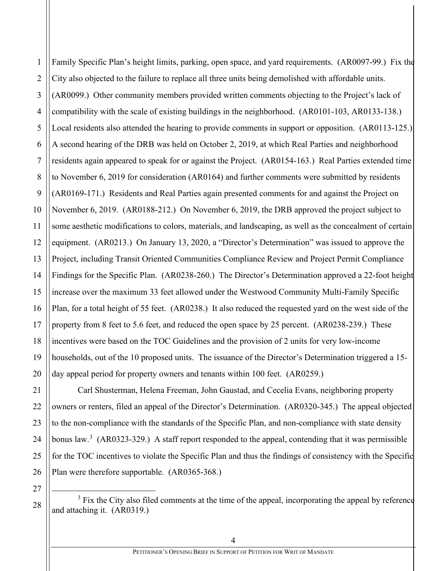1 2 3 4 5 6 7 8 9 10 11 12 13 14 15 16 17 18 19 20 21 22 23 24 25 26 27 28 Family Specific Plan's height limits, parking, open space, and yard requirements. (AR0097-99.) Fix the City also objected to the failure to replace all three units being demolished with affordable units. (AR0099.) Other community members provided written comments objecting to the Project's lack of compatibility with the scale of existing buildings in the neighborhood. (AR0101-103, AR0133-138.) Local residents also attended the hearing to provide comments in support or opposition. (AR0113-125.) A second hearing of the DRB was held on October 2, 2019, at which Real Parties and neighborhood residents again appeared to speak for or against the Project. (AR0154-163.) Real Parties extended time to November 6, 2019 for consideration (AR0164) and further comments were submitted by residents (AR0169-171.) Residents and Real Parties again presented comments for and against the Project on November 6, 2019. (AR0188-212.) On November 6, 2019, the DRB approved the project subject to some aesthetic modifications to colors, materials, and landscaping, as well as the concealment of certain equipment. (AR0213.) On January 13, 2020, a "Director's Determination" was issued to approve the Project, including Transit Oriented Communities Compliance Review and Project Permit Compliance Findings for the Specific Plan. (AR0238-260.) The Director's Determination approved a 22-foot height increase over the maximum 33 feet allowed under the Westwood Community Multi-Family Specific Plan, for a total height of 55 feet. (AR0238.) It also reduced the requested yard on the west side of the property from 8 feet to 5.6 feet, and reduced the open space by 25 percent. (AR0238-239.) These incentives were based on the TOC Guidelines and the provision of 2 units for very low-income households, out of the 10 proposed units. The issuance of the Director's Determination triggered a 15 day appeal period for property owners and tenants within 100 feet. (AR0259.) Carl Shusterman, Helena Freeman, John Gaustad, and Cecelia Evans, neighboring property owners or renters, filed an appeal of the Director's Determination. (AR0320-345.) The appeal objected to the non-compliance with the standards of the Specific Plan, and non-compliance with state density bonus law.<sup>[3](#page-3-0)</sup> (AR0323-329.) A staff report responded to the appeal, contending that it was permissible for the TOC incentives to violate the Specific Plan and thus the findings of consistency with the Specific Plan were therefore supportable. (AR0365-368.)

<span id="page-3-0"></span> $3$  Fix the City also filed comments at the time of the appeal, incorporating the appeal by reference and attaching it. (AR0319.)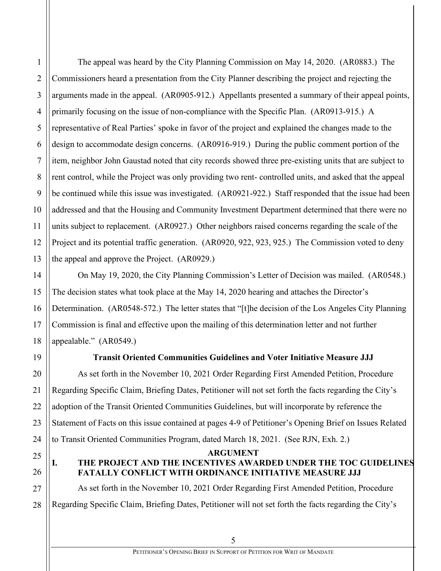1

2

3

The appeal was heard by the City Planning Commission on May 14, 2020. (AR0883.) The Commissioners heard a presentation from the City Planner describing the project and rejecting the arguments made in the appeal. (AR0905-912.) Appellants presented a summary of their appeal points, primarily focusing on the issue of non-compliance with the Specific Plan. (AR0913-915.) A representative of Real Parties' spoke in favor of the project and explained the changes made to the design to accommodate design concerns. (AR0916-919.) During the public comment portion of the item, neighbor John Gaustad noted that city records showed three pre-existing units that are subject to rent control, while the Project was only providing two rent- controlled units, and asked that the appeal be continued while this issue was investigated. (AR0921-922.) Staff responded that the issue had been addressed and that the Housing and Community Investment Department determined that there were no units subject to replacement. (AR0927.) Other neighbors raised concerns regarding the scale of the Project and its potential traffic generation. (AR0920, 922, 923, 925.) The Commission voted to deny the appeal and approve the Project. (AR0929.)

On May 19, 2020, the City Planning Commission's Letter of Decision was mailed. (AR0548.) The decision states what took place at the May 14, 2020 hearing and attaches the Director's Determination. (AR0548-572.) The letter states that "[t]he decision of the Los Angeles City Planning Commission is final and effective upon the mailing of this determination letter and not further appealable." (AR0549.)

## **Transit Oriented Communities Guidelines and Voter Initiative Measure JJJ**

As set forth in the November 10, 2021 Order Regarding First Amended Petition, Procedure Regarding Specific Claim, Briefing Dates, Petitioner will not set forth the facts regarding the City's adoption of the Transit Oriented Communities Guidelines, but will incorporate by reference the Statement of Facts on this issue contained at pages 4-9 of Petitioner's Opening Brief on Issues Related to Transit Oriented Communities Program, dated March 18, 2021. (See RJN, Exh. 2.)

#### **ARGUMENT**

# **I. THE PROJECT AND THE INCENTIVES AWARDED UNDER THE TOC GUIDELINES FATALLY CONFLICT WITH ORDINANCE INITIATIVE MEASURE JJJ**

As set forth in the November 10, 2021 Order Regarding First Amended Petition, Procedure Regarding Specific Claim, Briefing Dates, Petitioner will not set forth the facts regarding the City's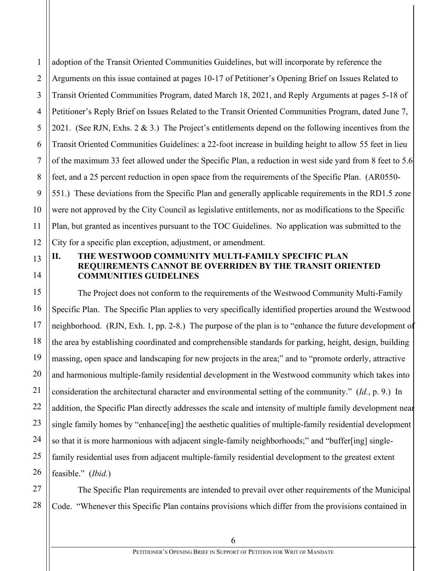1 adoption of the Transit Oriented Communities Guidelines, but will incorporate by reference the Arguments on this issue contained at pages 10-17 of Petitioner's Opening Brief on Issues Related to Transit Oriented Communities Program, dated March 18, 2021, and Reply Arguments at pages 5-18 of Petitioner's Reply Brief on Issues Related to the Transit Oriented Communities Program, dated June 7, 2021. (See RJN, Exhs. 2 & 3.) The Project's entitlements depend on the following incentives from the Transit Oriented Communities Guidelines: a 22-foot increase in building height to allow 55 feet in lieu of the maximum 33 feet allowed under the Specific Plan, a reduction in west side yard from 8 feet to 5.6 feet, and a 25 percent reduction in open space from the requirements of the Specific Plan. (AR0550- 551.) These deviations from the Specific Plan and generally applicable requirements in the RD1.5 zone were not approved by the City Council as legislative entitlements, nor as modifications to the Specific Plan, but granted as incentives pursuant to the TOC Guidelines. No application was submitted to the City for a specific plan exception, adjustment, or amendment.

## **II. THE WESTWOOD COMMUNITY MULTI-FAMILY SPECIFIC PLAN REQUIREMENTS CANNOT BE OVERRIDEN BY THE TRANSIT ORIENTED COMMUNITIES GUIDELINES**

The Project does not conform to the requirements of the Westwood Community Multi-Family Specific Plan. The Specific Plan applies to very specifically identified properties around the Westwood neighborhood. (RJN, Exh. 1, pp. 2-8.) The purpose of the plan is to "enhance the future development of the area by establishing coordinated and comprehensible standards for parking, height, design, building massing, open space and landscaping for new projects in the area;" and to "promote orderly, attractive and harmonious multiple-family residential development in the Westwood community which takes into consideration the architectural character and environmental setting of the community." (*Id.*, p. 9.) In addition, the Specific Plan directly addresses the scale and intensity of multiple family development near single family homes by "enhance[ing] the aesthetic qualities of multiple-family residential development so that it is more harmonious with adjacent single-family neighborhoods;" and "buffer[ing] singlefamily residential uses from adjacent multiple-family residential development to the greatest extent feasible." (*Ibid.*)

The Specific Plan requirements are intended to prevail over other requirements of the Municipal Code. "Whenever this Specific Plan contains provisions which differ from the provisions contained in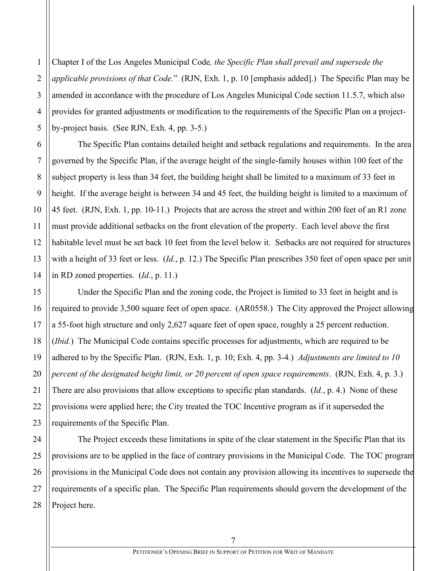1 2 3 Chapter I of the Los Angeles Municipal Code*, the Specific Plan shall prevail and supersede the applicable provisions of that Code.*" (RJN, Exh. 1, p. 10 [emphasis added].) The Specific Plan may be amended in accordance with the procedure of Los Angeles Municipal Code section 11.5.7, which also provides for granted adjustments or modification to the requirements of the Specific Plan on a projectby-project basis. (See RJN, Exh. 4, pp. 3-5.)

The Specific Plan contains detailed height and setback regulations and requirements. In the area governed by the Specific Plan, if the average height of the single-family houses within 100 feet of the subject property is less than 34 feet, the building height shall be limited to a maximum of 33 feet in height. If the average height is between 34 and 45 feet, the building height is limited to a maximum of 45 feet. (RJN, Exh. 1, pp. 10-11.) Projects that are across the street and within 200 feet of an R1 zone must provide additional setbacks on the front elevation of the property. Each level above the first habitable level must be set back 10 feet from the level below it. Setbacks are not required for structures with a height of 33 feet or less. (*Id.*, p. 12.) The Specific Plan prescribes 350 feet of open space per unit in RD zoned properties. (*Id.*, p. 11.)

Under the Specific Plan and the zoning code, the Project is limited to 33 feet in height and is required to provide 3,500 square feet of open space. (AR0558.) The City approved the Project allowing a 55-foot high structure and only 2,627 square feet of open space, roughly a 25 percent reduction. (*Ibid.*) The Municipal Code contains specific processes for adjustments, which are required to be adhered to by the Specific Plan. (RJN, Exh. 1, p. 10; Exh. 4, pp. 3-4.) *Adjustments are limited to 10 percent of the designated height limit, or 20 percent of open space requirements*. (RJN, Exh. 4, p. 3.) There are also provisions that allow exceptions to specific plan standards. (*Id.*, p. 4.) None of these provisions were applied here; the City treated the TOC Incentive program as if it superseded the requirements of the Specific Plan.

The Project exceeds these limitations in spite of the clear statement in the Specific Plan that its provisions are to be applied in the face of contrary provisions in the Municipal Code. The TOC program provisions in the Municipal Code does not contain any provision allowing its incentives to supersede the requirements of a specific plan. The Specific Plan requirements should govern the development of the Project here.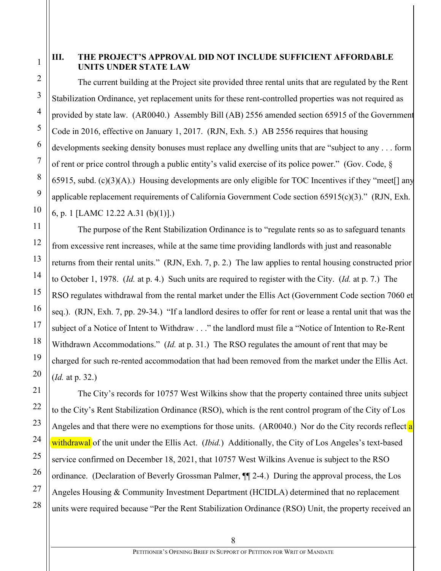1 2

## **III. THE PROJECT'S APPROVAL DID NOT INCLUDE SUFFICIENT AFFORDABLE UNITS UNDER STATE LAW**

The current building at the Project site provided three rental units that are regulated by the Rent Stabilization Ordinance, yet replacement units for these rent-controlled properties was not required as provided by state law. (AR0040.) Assembly Bill (AB) 2556 amended section 65915 of the Government Code in 2016, effective on January 1, 2017. (RJN, Exh. 5.) AB 2556 requires that housing developments seeking density bonuses must replace any dwelling units that are "subject to any . . . form of rent or price control through a public entity's valid exercise of its police power." (Gov. Code, § 65915, subd.  $(c)(3)(A)$ .) Housing developments are only eligible for TOC Incentives if they "meet<sup>[]</sup> any applicable replacement requirements of California Government Code section 65915(c)(3)." (RJN, Exh. 6, p. 1 [LAMC 12.22 A.31 (b)(1)].)

The purpose of the Rent Stabilization Ordinance is to "regulate rents so as to safeguard tenants from excessive rent increases, while at the same time providing landlords with just and reasonable returns from their rental units." (RJN, Exh. 7, p. 2.) The law applies to rental housing constructed prior to October 1, 1978. (*Id.* at p. 4.) Such units are required to register with the City. (*Id.* at p. 7.) The RSO regulates withdrawal from the rental market under the Ellis Act (Government Code section 7060 et seq.). (RJN, Exh. 7, pp. 29-34.) "If a landlord desires to offer for rent or lease a rental unit that was the subject of a Notice of Intent to Withdraw . . ." the landlord must file a "Notice of Intention to Re-Rent Withdrawn Accommodations." (*Id.* at p. 31.) The RSO regulates the amount of rent that may be charged for such re-rented accommodation that had been removed from the market under the Ellis Act. (*Id.* at p. 32.)

The City's records for 10757 West Wilkins show that the property contained three units subject to the City's Rent Stabilization Ordinance (RSO), which is the rent control program of the City of Los Angeles and that there were no exemptions for those units. (AR0040.) Nor do the City records reflect a withdrawal of the unit under the Ellis Act. (*Ibid.*) Additionally, the City of Los Angeles's text-based service confirmed on December 18, 2021, that 10757 West Wilkins Avenue is subject to the RSO ordinance. (Declaration of Beverly Grossman Palmer, ¶¶ 2-4.) During the approval process, the Los Angeles Housing & Community Investment Department (HCIDLA) determined that no replacement units were required because "Per the Rent Stabilization Ordinance (RSO) Unit, the property received an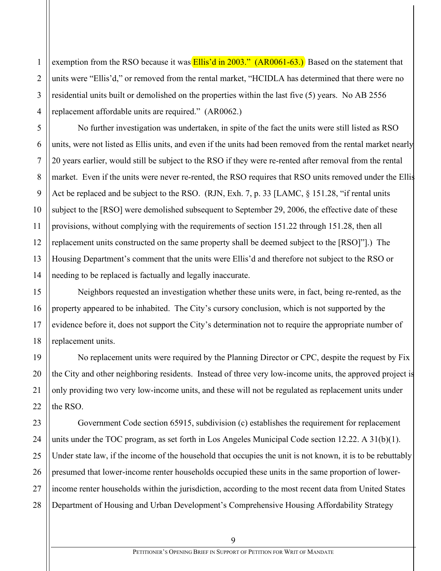exemption from the RSO because it was **Ellis'd in 2003."** (AR0061-63.) Based on the statement that units were "Ellis'd," or removed from the rental market, "HCIDLA has determined that there were no residential units built or demolished on the properties within the last five (5) years. No AB 2556 replacement affordable units are required." (AR0062.)

No further investigation was undertaken, in spite of the fact the units were still listed as RSO units, were not listed as Ellis units, and even if the units had been removed from the rental market nearly 20 years earlier, would still be subject to the RSO if they were re-rented after removal from the rental market. Even if the units were never re-rented, the RSO requires that RSO units removed under the Ellis Act be replaced and be subject to the RSO. (RJN, Exh. 7, p. 33 [LAMC, § 151.28, "if rental units subject to the [RSO] were demolished subsequent to September 29, 2006, the effective date of these provisions, without complying with the requirements of section 151.22 through 151.28, then all replacement units constructed on the same property shall be deemed subject to the [RSO]"].) The Housing Department's comment that the units were Ellis'd and therefore not subject to the RSO or needing to be replaced is factually and legally inaccurate.

Neighbors requested an investigation whether these units were, in fact, being re-rented, as the property appeared to be inhabited. The City's cursory conclusion, which is not supported by the evidence before it, does not support the City's determination not to require the appropriate number of replacement units.

No replacement units were required by the Planning Director or CPC, despite the request by Fix the City and other neighboring residents. Instead of three very low-income units, the approved project is only providing two very low-income units, and these will not be regulated as replacement units under the RSO.

Government Code section 65915, subdivision (c) establishes the requirement for replacement units under the TOC program, as set forth in Los Angeles Municipal Code section 12.22. A 31(b)(1). Under state law, if the income of the household that occupies the unit is not known, it is to be rebuttably presumed that lower-income renter households occupied these units in the same proportion of lowerincome renter households within the jurisdiction, according to the most recent data from United States Department of Housing and Urban Development's Comprehensive Housing Affordability Strategy

1